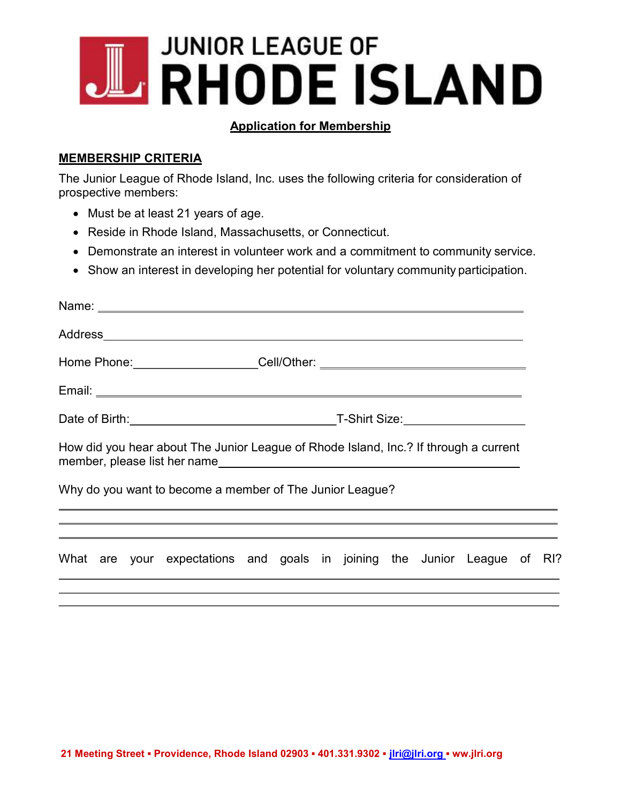# **JUNIOR LEAGUE OF BRHODE ISLAND**

#### Application for Membership

### MEMBERSHIP CRITERIA

The Junior League of Rhode Island, Inc. uses the following criteria for consideration of prospective members:

- Must be at least 21 years of age.
- Reside in Rhode Island, Massachusetts, or Connecticut.
- Demonstrate an interest in volunteer work and a commitment to community service.
- Show an interest in developing her potential for voluntary community participation.

|  |  |  | How did you hear about The Junior League of Rhode Island, Inc.? If through a current                                                                                                                                                                                   |  |  |  |  |  |  |  |  |  |  |
|--|--|--|------------------------------------------------------------------------------------------------------------------------------------------------------------------------------------------------------------------------------------------------------------------------|--|--|--|--|--|--|--|--|--|--|
|  |  |  | Why do you want to become a member of The Junior League?<br><u> 1989 - Andrea Santana, amerikana amerikana amerikana amerikana amerikana amerikana amerikana amerikana amerika</u><br>,我们也不能会在这里,我们也不能会在这里,我们也不能会在这里,我们也不能会在这里,我们也不能会在这里,我们也不能会在这里,我们也不能会在这里,我们也不能会在这里 |  |  |  |  |  |  |  |  |  |  |
|  |  |  | ,我们也不能会在这里的时候,我们也不能会在这里的时候,我们也不能会在这里的时候,我们也不能会在这里的时候,我们也不能会在这里的时候,我们也不能会在这里的时候,我<br>第251章 我们的时候,我们的时候,我们的时候,我们的时候,我们的时候,我们的时候,我们的时候,我们的时候,我们的时候,我们的时候,我们的时候,我们的时候,我们                                                                                                   |  |  |  |  |  |  |  |  |  |  |
|  |  |  | What are your expectations and goals in joining the Junior League of RI?                                                                                                                                                                                               |  |  |  |  |  |  |  |  |  |  |
|  |  |  |                                                                                                                                                                                                                                                                        |  |  |  |  |  |  |  |  |  |  |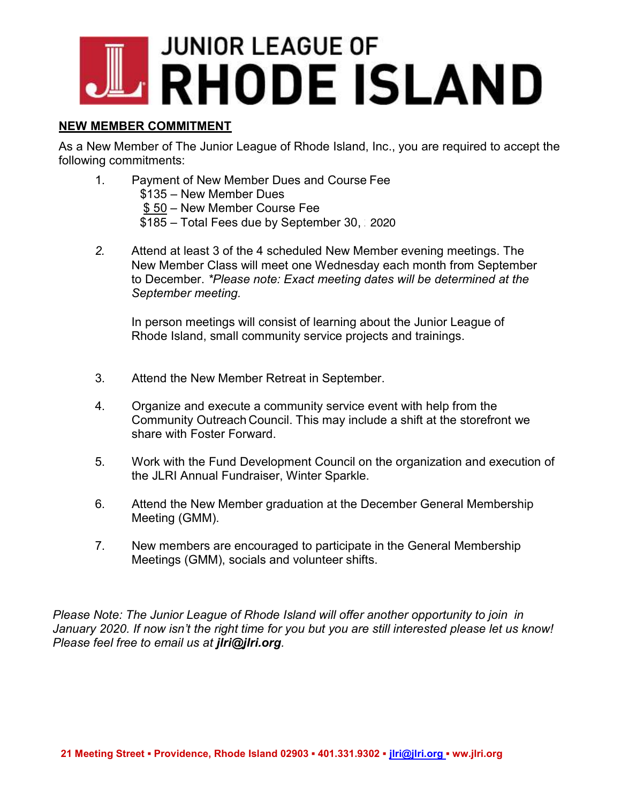# **JUNIOR LEAGUE OF RHODE ISLAND**

#### NEW MEMBER COMMITMENT

As a New Member of The Junior League of Rhode Island, Inc., you are required to accept the following commitments:

- 1. Payment of New Member Dues and Course Fee \$135 – New Member Dues \$ 50 – New Member Course Fee \$185 – Total Fees due by September 30, 2019 2020
- 2. Attend at least 3 of the 4 scheduled New Member evening meetings. The New Member Class will meet one Wednesday each month from September to December. \*Please note: Exact meeting dates will be determined at the September meeting.

In person meetings will consist of learning about the Junior League of Rhode Island, small community service projects and trainings.

- 3. Attend the New Member Retreat in September.
- 4. Organize and execute a community service event with help from the Community Outreach Council. This may include a shift at the storefront we share with Foster Forward.
- 5. Work with the Fund Development Council on the organization and execution of the JLRI Annual Fundraiser, Winter Sparkle.
- 6. Attend the New Member graduation at the December General Membership Meeting (GMM).
- 7. New members are encouraged to participate in the General Membership Meetings (GMM), socials and volunteer shifts.

Please Note: The Junior League of Rhode Island will offer another opportunity to join in January 2020. If now isn't the right time for you but you are still interested please let us know! Please feel free to email us at jiri@jiri.org.